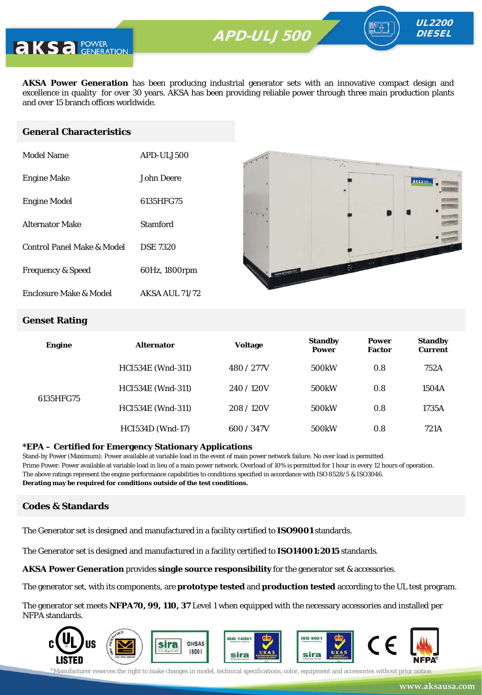

**AKSA Power Generation** has been producing industrial generator sets with an innovative compact design and excellence in quality for over 30 years. AKSA has been providing reliable power through three main production plants and over 15 branch offices worldwide.

#### **General Characteristics**

| Model Name                   | APD-ULJ500            |
|------------------------------|-----------------------|
| <b>Engine Make</b>           | John Deere            |
| <b>Engine Model</b>          | 6135HFG75             |
| <b>Alternator Make</b>       | Stamford              |
| Control Panel Make & Model   | <b>DSE 7320</b>       |
| <b>Frequency &amp; Speed</b> | 60Hz, 1800rpm         |
| Enclosure Make & Model       | <b>AKSA AUL 71/72</b> |



UL2200 **DIESEL** 

#### **Genset Rating**

| <b>Engine</b> | <b>Alternator</b>        | <b>Voltage</b> | <b>Standby</b><br><b>Power</b> | <b>Power</b><br><b>Factor</b> | <b>Standby</b><br><b>Current</b> |
|---------------|--------------------------|----------------|--------------------------------|-------------------------------|----------------------------------|
| 6135HFG75     | <b>HCI534E</b> (Wnd-311) | 480 / 277V     | 500 <sub>k</sub> W             | 0.8                           | 752A                             |
|               | <b>HCI534E</b> (Wnd-311) | 240/120V       | 500 <sub>k</sub> W             | 0.8                           | 1504A                            |
|               | <b>HCI534E</b> (Wnd-311) | 208/120V       | 500 <sub>k</sub> W             | 0.8                           | 1735A                            |
|               | <b>HCI534D</b> (Wnd-17)  | 600 / 347V     | 500 <sub>k</sub> W             | 0.8                           | 721A                             |

#### **\*EPA – Certified for Emergency Stationary Applications**

Stand-by Power (Maximum): Power available at variable load in the event of main power network failure. No over load is permitted. Prime Power: Power available at variable load in lieu of a main power network. Overload of 10% is permitted for 1 hour in every 12 hours of operation. The above ratings represent the engine performance capabilities to conditions specified in accordance with ISO 8528/5 & ISO3046. **Derating may be required for conditions outside of the test conditions.**

#### **Codes & Standards**

The Generator set is designed and manufactured in a facility certified to **ISO9001** standards.

The Generator set is designed and manufactured in a facility certified to **ISO14001:2015** standards.

**AKSA Power Generation** provides **single source responsibility** for the generator set & accessories.

The generator set, with its components, are **prototype tested** and **production tested** according to the UL test program.

The generator set meets **NFPA70, 99, 110, 37** Level 1 when equipped with the necessary accessories and installed per NFPA standards.

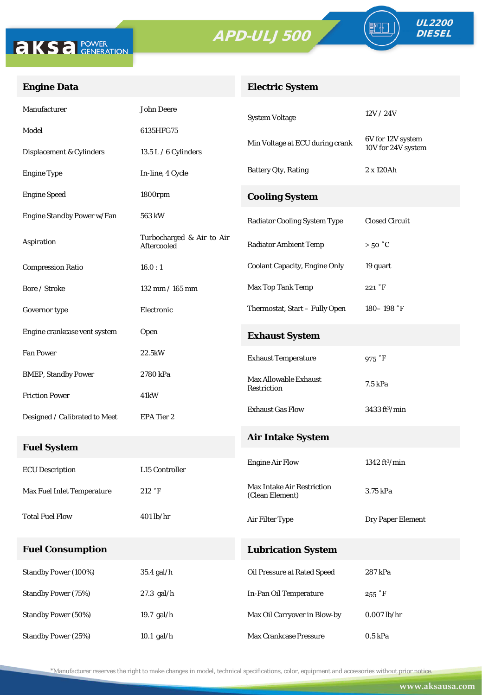



FO

### **Engine Data**

## **Electric System**

| Manufacturer                  | <b>John Deere</b>                        | <b>System Voltage</b>                                | 12V/24V                        |  |
|-------------------------------|------------------------------------------|------------------------------------------------------|--------------------------------|--|
| Model                         | 6135HFG75                                |                                                      | 6V for 12V system              |  |
| Displacement & Cylinders      | 13.5 L / 6 Cylinders                     | Min Voltage at ECU during crank                      | 10V for 24V system             |  |
| <b>Engine Type</b>            | In-line, 4 Cycle                         | Battery Qty, Rating                                  | 2 x 120Ah                      |  |
| <b>Engine Speed</b>           | 1800rpm                                  | <b>Cooling System</b>                                |                                |  |
| Engine Standby Power w/Fan    | 563 kW                                   | <b>Radiator Cooling System Type</b>                  | <b>Closed Circuit</b>          |  |
| Aspiration                    | Turbocharged & Air to Air<br>Aftercooled | <b>Radiator Ambient Temp</b>                         | $>50\degree C$                 |  |
| <b>Compression Ratio</b>      | 16.0:1                                   | <b>Coolant Capacity, Engine Only</b>                 | 19 quart                       |  |
| Bore / Stroke                 | 132 mm / 165 mm                          | Max Top Tank Temp                                    | 221 °F                         |  |
| Governor type                 | Electronic                               | Thermostat, Start - Fully Open                       | 180-198 $\degree$ F            |  |
| Engine crankcase vent system  | Open                                     | <b>Exhaust System</b>                                |                                |  |
| <b>Fan Power</b>              | 22.5kW                                   | <b>Exhaust Temperature</b>                           | 975 °F                         |  |
| <b>BMEP, Standby Power</b>    | 2780 kPa                                 | <b>Max Allowable Exhaust</b>                         | 7.5 kPa                        |  |
| <b>Friction Power</b>         | 41kW                                     | Restriction                                          |                                |  |
| Designed / Calibrated to Meet | EPA Tier 2                               | <b>Exhaust Gas Flow</b>                              | $3433 \text{ ft}^3/\text{min}$ |  |
| <b>Fuel System</b>            |                                          | <b>Air Intake System</b>                             |                                |  |
| <b>ECU</b> Description        | L15 Controller                           | <b>Engine Air Flow</b>                               | 1342 $ft^3/min$                |  |
| Max Fuel Inlet Temperature    | 212 °F                                   | <b>Max Intake Air Restriction</b><br>(Clean Element) | 3.75 kPa                       |  |
| <b>Total Fuel Flow</b>        | $401$ lb/hr                              | Air Filter Type                                      | <b>Dry Paper Element</b>       |  |
| <b>Fuel Consumption</b>       |                                          | <b>Lubrication System</b>                            |                                |  |
| Standby Power (100%)          | 35.4 gal/h                               | Oil Pressure at Rated Speed                          | 287 kPa                        |  |
| Standby Power (75%)           | 27.3 gal/h                               | In-Pan Oil Temperature                               | $255 \text{ }^{\circ}$ F       |  |
| Standby Power (50%)           | 19.7 gal/h                               | Max Oil Carryover in Blow-by                         | $0.007$ lb/hr                  |  |
| <b>Standby Power (25%)</b>    | $10.1$ gal/h                             | Max Crankcase Pressure                               | 0.5 kPa                        |  |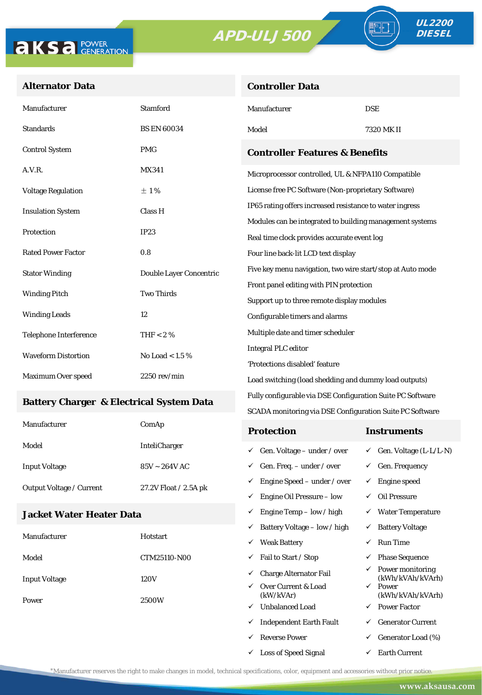**Controller Data**





### **Alternator Data**

| Manufacturer                              | <b>Stamford</b>         | Manufacturer                                                                                      | <b>DSE</b> |  |
|-------------------------------------------|-------------------------|---------------------------------------------------------------------------------------------------|------------|--|
| <b>Standards</b>                          | <b>BS EN 60034</b>      | Model                                                                                             | 7320 MK II |  |
| <b>Control System</b>                     | <b>PMG</b>              | <b>Controller Features &amp; Benefits</b>                                                         |            |  |
| A.V.R.                                    | MX341                   | Microprocessor controlled, UL & NFPA110 Compatible                                                |            |  |
| <b>Voltage Regulation</b>                 | ±1%                     | License free PC Software (Non-proprietary Software)                                               |            |  |
| <b>Insulation System</b>                  | Class H                 | IP65 rating offers increased resistance to water ingress                                          |            |  |
| Protection                                | IP23                    | Modules can be integrated to building management systems                                          |            |  |
|                                           |                         | Real time clock provides accurate event log                                                       |            |  |
| <b>Rated Power Factor</b>                 | 0.8                     | Four line back-lit LCD text display<br>Five key menu navigation, two wire start/stop at Auto mode |            |  |
| <b>Stator Winding</b>                     | Double Layer Concentric |                                                                                                   |            |  |
| <b>Two Thirds</b><br><b>Winding Pitch</b> |                         | Front panel editing with PIN protection                                                           |            |  |
|                                           |                         | Support up to three remote display modules                                                        |            |  |
| <b>Winding Leads</b>                      | 12                      | Configurable timers and alarms                                                                    |            |  |
| <b>Telephone Interference</b>             | THF < 2 $%$             | Multiple date and timer scheduler                                                                 |            |  |
| <b>Waveform Distortion</b>                | No Load < $1.5\%$       | <b>Integral PLC editor</b>                                                                        |            |  |
|                                           |                         | 'Protections disabled' feature                                                                    |            |  |
| Maximum Over speed                        | $2250$ rev/min          | Load switching (load shedding and dummy load outputs)                                             |            |  |

### **Battery Charger & Electrical System Data**

| Manufacturer                    | ComAp                 | <b>Protection</b>                        | Instruments                         |
|---------------------------------|-----------------------|------------------------------------------|-------------------------------------|
| Model                           | <b>InteliCharger</b>  | $\checkmark$ Gen. Voltage – under / over | $\checkmark$ Gen. Voltage (L-L/L-N) |
| <b>Input Voltage</b>            | $85V \sim 264V$ AC    | $\checkmark$ Gen. Freq. – under / over   | $\checkmark$ Gen. Frequency         |
| <b>Output Voltage / Current</b> | 27.2V Float / 2.5A pk | $\checkmark$ Engine Speed – under / over | Engine speed                        |
|                                 |                       | Engine Oil Pressure – low<br>✓           | Oil Pressure                        |

Fully configurable via DSE Configuration Suite PC Software SCADA monitoring via DSE Configuration Suite PC Software

 $\checkmark$  Engine Temp – low / high  $\checkmark$  Water Temperature

 $\checkmark$  Loss of Speed Signal  $\checkmark$  Earth Current

### **Jacket Water Heater Data**

|                               |                 | $\checkmark$ | Battery Voltage – low / high     | ✓            | <b>Battery Voltage</b>                            |
|-------------------------------|-----------------|--------------|----------------------------------|--------------|---------------------------------------------------|
| Manufacturer                  | <b>Hotstart</b> | $\checkmark$ | <b>Weak Battery</b>              | ✓            | <b>Run Time</b>                                   |
| Model                         | CTM25110-N00    | $\checkmark$ | Fail to Start / Stop             | ✓            | <b>Phase Sequence</b>                             |
| <b>Input Voltage</b><br>Power | 120V<br>2500W   | $\checkmark$ | <b>Charge Alternator Fail</b>    |              | $\checkmark$ Power monitoring<br>(kWh/kVAh/kVArh) |
|                               |                 | $\checkmark$ | Over Current & Load<br>(kW/kVAr) | $\checkmark$ | Power<br>(kWh/kVAh/kVArh)                         |
|                               |                 | ✓            | <b>Unbalanced Load</b>           | $\checkmark$ | <b>Power Factor</b>                               |
|                               |                 | $\checkmark$ | <b>Independent Earth Fault</b>   | ✓            | <b>Generator Current</b>                          |
|                               |                 | $\checkmark$ | <b>Reverse Power</b>             | $\checkmark$ | Generator Load (%)                                |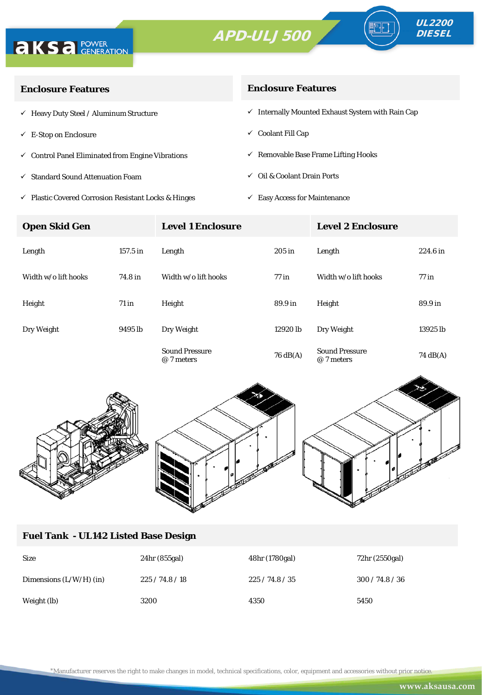



∘⊪

| <b>Enclosure Features</b>                                    | <b>Enclosure Features</b>                                    |  |  |
|--------------------------------------------------------------|--------------------------------------------------------------|--|--|
| $\checkmark$ Heavy Duty Steel / Aluminum Structure           | $\checkmark$ Internally Mounted Exhaust System with Rain Cap |  |  |
| $\checkmark$ E-Stop on Enclosure                             | $\checkmark$ Coolant Fill Cap                                |  |  |
| $\checkmark$ Control Panel Eliminated from Engine Vibrations | $\checkmark$ Removable Base Frame Lifting Hooks              |  |  |
| $\checkmark$ Standard Sound Attenuation Foam                 | $\checkmark$ Oil & Coolant Drain Ports                       |  |  |
|                                                              |                                                              |  |  |

 $\checkmark$ Plastic Covered Corrosion Resistant Locks & Hinges

 $\checkmark$  Easy Access for Maintenance

| <b>Open Skid Gen</b> |            | <b>Level 1 Enclosure</b>            |                    | <b>Level 2 Enclosure</b>            |                    |
|----------------------|------------|-------------------------------------|--------------------|-------------------------------------|--------------------|
| Length               | $157.5$ in | Length                              | 205 in             | Length                              | 224.6 in           |
| Width w/o lift hooks | 74.8 in    | Width w/o lift hooks                | $77$ in            | Width w/o lift hooks                | $77$ in            |
| Height               | $71$ in    | Height                              | 89.9 in            | Height                              | 89.9 in            |
| Dry Weight           | 9495 lb    | Dry Weight                          | 12920 lb           | Dry Weight                          | 13925 lb           |
|                      |            | <b>Sound Pressure</b><br>@ 7 meters | $76 \text{ dB}(A)$ | <b>Sound Pressure</b><br>@ 7 meters | $74 \text{ dB}(A)$ |



# **Fuel Tank - UL142 Listed Base Design**

| <b>Size</b>               | 24hr (855gal) | 48hr (1780gal) | 72hr (2550gal)  |
|---------------------------|---------------|----------------|-----------------|
| Dimensions $(L/W/H)$ (in) | 225/74.8/18   | 225/74.8/35    | 300 / 74.8 / 36 |
| Weight (lb)               | 3200          | 4350           | 5450            |